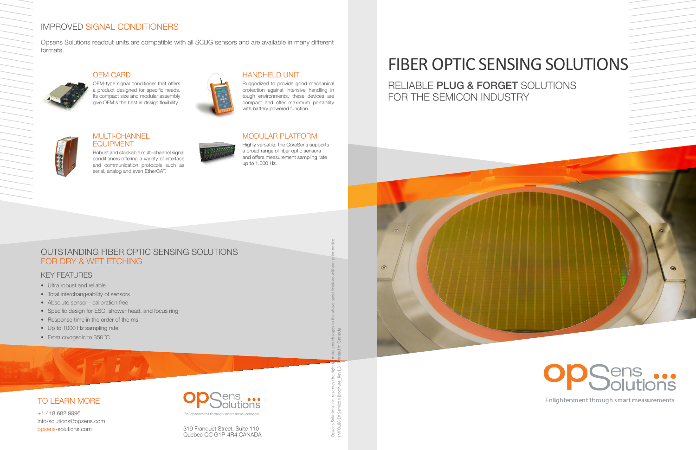## RELIABLE PLUG & FORGET SOLUTIONS FOR THE SEMICON INDUSTRY



## IMPROVED SIGNAL CONDITIONERS

- Ultra robust and reliable
- Total interchangeability of sensors
- Absolute sensor calibration free
- Specific design for ESC, shower head, and focus ring
- Response time in the order of the ms
- Up to 1000 Hz sampling rate
- From cryogenic to 350 °C

Opsens Solutions readout units are compatible with all SCBG sensors and are available in many different formats.



## OUTSTANDING FIBER OPTIC SENSING SOLUTIONS FOR DRY & WET ETCHING

 $F(\nabla)$ 

#### KEY FEATURES

OEM CARD

OEM-type signal conditioner that offers a product designed for specific needs. Its compact size and modular assembly give OEM's the best in design flexibility.



### MULTI-CHANNEL EQUIPMENT

Robust and stackable multi-channel signal conditioners offering a variety of interface and communication protocols such as serial, analog and even EtherCAT.



## HANDHELD UNIT

Ruggedized to provide good mechanical protection against intensive handling in tough environments, these devices are compact and offer maximum portability with battery powered function.

## FIBER OPTIC SENSING SOLUTIONS

## MODULAR PLATFORM

Highly versatile, the CoreSens supports a broad range of fiber optic sensors and offers measurement sampling rate up to 1,000 Hz.

> Opsens Solutions Inc. reserves the right to make any changes to the above specifications without prior notice. IMP0188 En Semicon Brochure\_Rev1.3 |Printed in Canada



# Enlightenment through smart measurements

## TO LEARN MORE

+1.418.682.9996 info-solutions@opsens.com

opsens-solutions.com 319 Franquet Street, Suite 110 Quebec QC G1P-4R4 CANADA